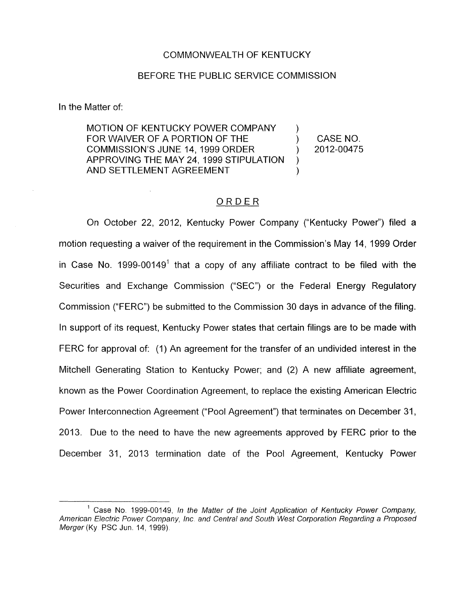## COMMONWEALTH OF KENTUCKY

## BEFORE THE PUBLIC SERVICE COMMISSION

In the Matter of:

MOTION OF KENTUCKY POWER COMPANY FOR WAIVER OF A PORTION OF THE  $(1, 1)$  CASE NO. APPROVING THE MAY 24, 1999 STIPULATION AND SETTLEMENT AGREEMENT  $\sum_{i=1}^{n}$ COMMISSION'S JUNE 14, 1999 ORDER ) 2012-00475 )

## ORDER

On October 22, 2012, Kentucky Power Company ("Kentucky Power") filed a motion requesting a waiver of the requirement in the Commission's May 14, 1999 Order in Case No. 1999-00149<sup>1</sup> that a copy of any affiliate contract to be filed with the Securities and Exchange Commission ('SEC") or the Federal Energy Regulatory Commission ("FERC") be submitted to the Commission 30 days in advance of the filing. In support of its request, Kentucky Power states that certain filings are to be made with FERC for approval of: (1) An agreement for the transfer of an undivided interest in the Mitchell Generating Station to Kentucky Power; and (2) A new affiliate agreement, known as the Power Coordination Agreement, to replace the existing American Electric Power Interconnection Agreement ("Pool Agreement") that terminates on December 31, 2013. Due to the need to have the new agreements approved by FERC prior to the December 31, 2013 termination date of the Pool Agreement, Kentucky Power

<sup>&</sup>lt;sup>1</sup> Case No. 1999-00149, *In the Matter of the Joint Application of Kentucky Power Company, American Electric Power Company, Inc and Central and South West Corporation Regarding a Proposed Merger(Ky* PSC Jun. 14, 1999)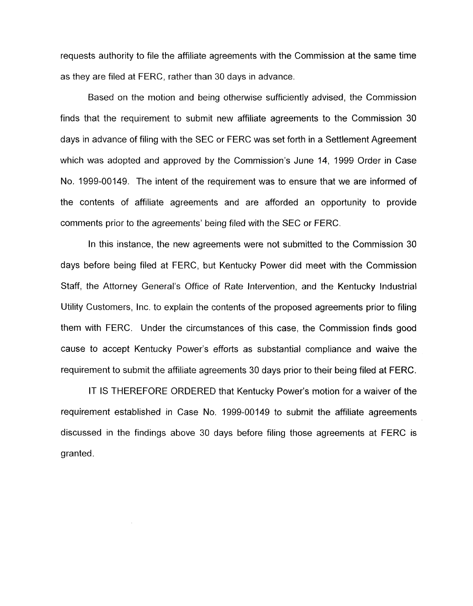requests authority to file the affiliate agreements with the Commission at the same time as they are filed at FERC, rather than 30 days in advance.

Based on the motion and being otherwise sufficiently advised, the Commission finds that the requirement to submit new affiliate agreements to the Commission 30 days in advance of filing with the SEC or FERC was set forth in a Settlement Agreement which was adopted and approved by the Commission's June 14, 1999 Order in Case No. 1999-00149. The intent of the requirement was to ensure that we are informed of the contents of affiliate agreements and are afforded an opportunity to provide comments prior to the agreements' being filed with the SEC or FERC.

In this instance, the new agreements were not submitted to the Commission 30 days before being filed at FERC, but Kentucky Power did meet with the Commission Staff, the Attorney General's Office of Rate Intervention, and the Kentucky Industrial Utility Customers, Inc. to explain the contents of the proposed agreements prior to filing them with FERC. Under the circumstances of this case, the Commission finds good cause to accept Kentucky Power's efforts as substantial compliance and waive the requirement to submit the affiliate agreements 30 days prior to their being filed at FERC.

IT IS THEREFORE ORDERED that Kentucky Power's motion for a waiver of the requirement established in Case No. 1999-00149 to submit the affiliate agreements discussed in the findings above 30 days before filing those agreements at FERC is granted.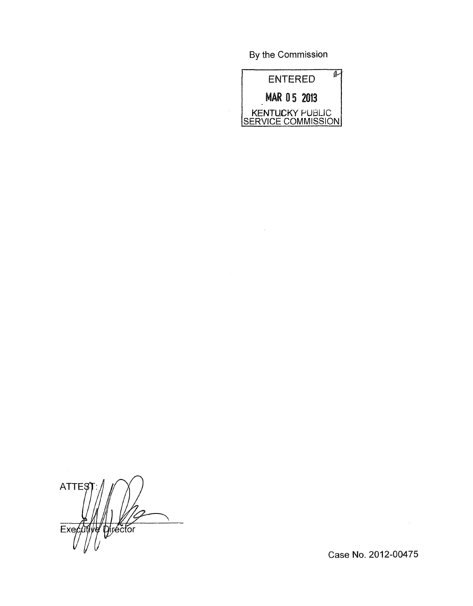By the Commission



 $\bar{\lambda}$ 

 $\bar{z}$ 

**ATTEŞ** pirector  $Exe$ γę

Case No. 2012-00475

 $\sim$